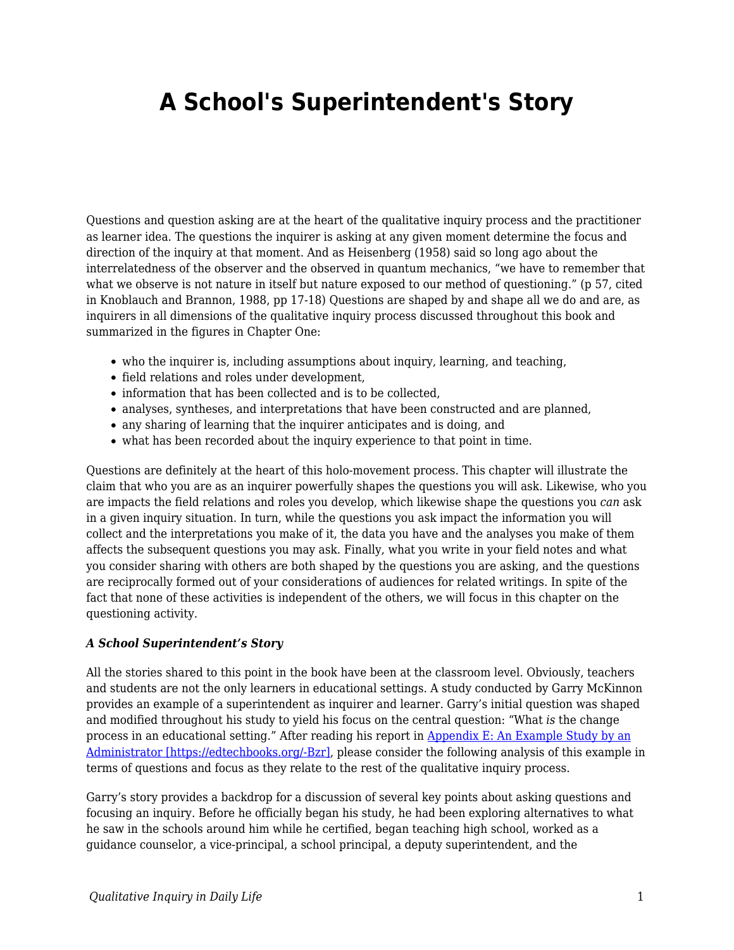## **A School's Superintendent's Story**

Questions and question asking are at the heart of the qualitative inquiry process and the practitioner as learner idea. The questions the inquirer is asking at any given moment determine the focus and direction of the inquiry at that moment. And as Heisenberg (1958) said so long ago about the interrelatedness of the observer and the observed in quantum mechanics, "we have to remember that what we observe is not nature in itself but nature exposed to our method of questioning." (p 57, cited in Knoblauch and Brannon, 1988, pp 17-18) Questions are shaped by and shape all we do and are, as inquirers in all dimensions of the qualitative inquiry process discussed throughout this book and summarized in the figures in Chapter One:

- who the inquirer is, including assumptions about inquiry, learning, and teaching,
- field relations and roles under development,
- information that has been collected and is to be collected.
- analyses, syntheses, and interpretations that have been constructed and are planned,
- any sharing of learning that the inquirer anticipates and is doing, and
- what has been recorded about the inquiry experience to that point in time.

Questions are definitely at the heart of this holo-movement process. This chapter will illustrate the claim that who you are as an inquirer powerfully shapes the questions you will ask. Likewise, who you are impacts the field relations and roles you develop, which likewise shape the questions you *can* ask in a given inquiry situation. In turn, while the questions you ask impact the information you will collect and the interpretations you make of it, the data you have and the analyses you make of them affects the subsequent questions you may ask. Finally, what you write in your field notes and what you consider sharing with others are both shaped by the questions you are asking, and the questions are reciprocally formed out of your considerations of audiences for related writings. In spite of the fact that none of these activities is independent of the others, we will focus in this chapter on the questioning activity.

## *A School Superintendent's Story*

All the stories shared to this point in the book have been at the classroom level. Obviously, teachers and students are not the only learners in educational settings. A study conducted by Garry McKinnon provides an example of a superintendent as inquirer and learner. Garry's initial question was shaped and modified throughout his study to yield his focus on the central question: "What *is* the change process in an educational setting." After reading his report in [Appendix E: An Example Study by an](https://edtechbooks.org/qualitativeinquiry/appendixe) [Administrator \[https://edtechbooks.org/-Bzr\]](https://edtechbooks.org/qualitativeinquiry/appendixe), please consider the following analysis of this example in terms of questions and focus as they relate to the rest of the qualitative inquiry process.

Garry's story provides a backdrop for a discussion of several key points about asking questions and focusing an inquiry. Before he officially began his study, he had been exploring alternatives to what he saw in the schools around him while he certified, began teaching high school, worked as a guidance counselor, a vice-principal, a school principal, a deputy superintendent, and the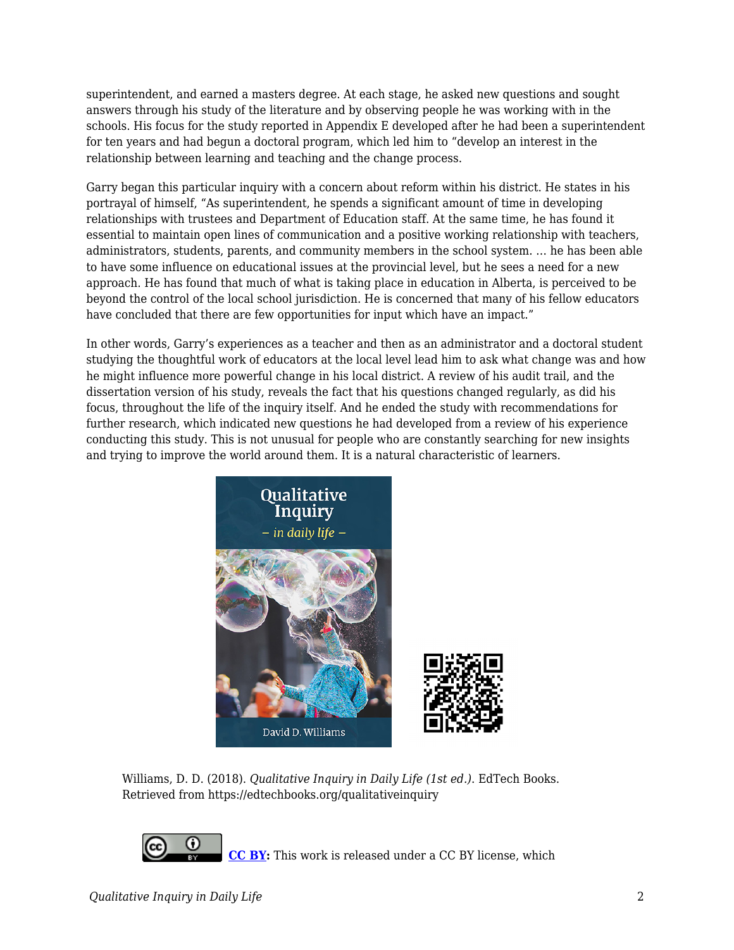superintendent, and earned a masters degree. At each stage, he asked new questions and sought answers through his study of the literature and by observing people he was working with in the schools. His focus for the study reported in Appendix E developed after he had been a superintendent for ten years and had begun a doctoral program, which led him to "develop an interest in the relationship between learning and teaching and the change process.

Garry began this particular inquiry with a concern about reform within his district. He states in his portrayal of himself, "As superintendent, he spends a significant amount of time in developing relationships with trustees and Department of Education staff. At the same time, he has found it essential to maintain open lines of communication and a positive working relationship with teachers, administrators, students, parents, and community members in the school system. … he has been able to have some influence on educational issues at the provincial level, but he sees a need for a new approach. He has found that much of what is taking place in education in Alberta, is perceived to be beyond the control of the local school jurisdiction. He is concerned that many of his fellow educators have concluded that there are few opportunities for input which have an impact."

In other words, Garry's experiences as a teacher and then as an administrator and a doctoral student studying the thoughtful work of educators at the local level lead him to ask what change was and how he might influence more powerful change in his local district. A review of his audit trail, and the dissertation version of his study, reveals the fact that his questions changed regularly, as did his focus, throughout the life of the inquiry itself. And he ended the study with recommendations for further research, which indicated new questions he had developed from a review of his experience conducting this study. This is not unusual for people who are constantly searching for new insights and trying to improve the world around them. It is a natural characteristic of learners.



Williams, D. D. (2018). *Qualitative Inquiry in Daily Life (1st ed.)*. EdTech Books. Retrieved from https://edtechbooks.org/qualitativeinquiry

**[CC BY](https://creativecommons.org/licenses/by/4.0):** This work is released under a CC BY license, which